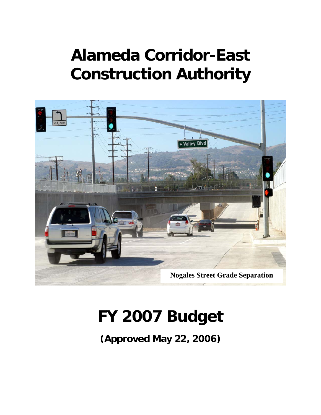# **Alameda Corridor-East Construction Authority**



# **FY 2007 Budget**

**(Approved May 22, 2006)**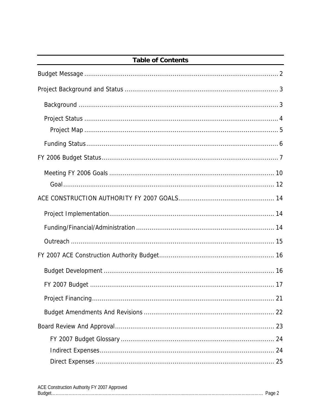| <b>Table of Contents</b> |  |  |
|--------------------------|--|--|
|                          |  |  |
|                          |  |  |
|                          |  |  |
|                          |  |  |
|                          |  |  |
|                          |  |  |
|                          |  |  |
|                          |  |  |
|                          |  |  |
|                          |  |  |
|                          |  |  |
|                          |  |  |
|                          |  |  |
|                          |  |  |
|                          |  |  |
|                          |  |  |
|                          |  |  |
|                          |  |  |
|                          |  |  |
|                          |  |  |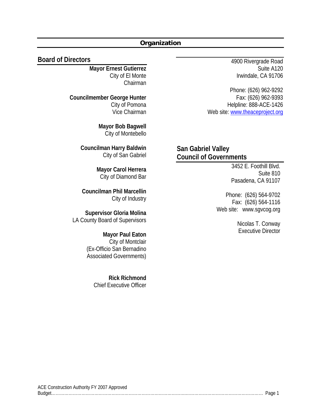#### **Organization**

#### **Board of Directors**

**Mayor Ernest Gutierrez**  City of El Monte Chairman

**Councilmember George Hunter**  City of Pomona Vice Chairman

> **Mayor Bob Bagwell**  City of Montebello

**Councilman Harry Baldwin**  City of San Gabriel

> **Mayor Carol Herrera**  City of Diamond Bar

 **Councilman Phil Marcellin**  City of Industry

**Supervisor Gloria Molina**  LA County Board of Supervisors

> **Mayor Paul Eaton**  City of Montclair (Ex-Officio San Bernadino Associated Governments)

> > **Rick Richmond**  Chief Executive Officer

4900 Rivergrade Road Suite A120 Irwindale, CA 91706

Phone: (626) 962-9292 Fax: (626) 962-9393 Helpline: 888-ACE-1426 Web site: www.theaceproject.org

**San Gabriel Valley Council of Governments** 

> 3452 E. Foothill Blvd. Suite 810 Pasadena, CA 91107

Phone: (626) 564-9702 Fax: (626) 564-1116 Web site: www.sgvcog.org

> Nicolas T. Conway Executive Director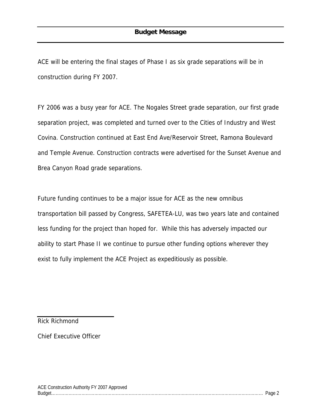ACE will be entering the final stages of Phase I as six grade separations will be in construction during FY 2007.

FY 2006 was a busy year for ACE. The Nogales Street grade separation, our first grade separation project, was completed and turned over to the Cities of Industry and West Covina. Construction continued at East End Ave/Reservoir Street, Ramona Boulevard and Temple Avenue. Construction contracts were advertised for the Sunset Avenue and Brea Canyon Road grade separations.

Future funding continues to be a major issue for ACE as the new omnibus transportation bill passed by Congress, SAFETEA-LU, was two years late and contained less funding for the project than hoped for. While this has adversely impacted our ability to start Phase II we continue to pursue other funding options wherever they exist to fully implement the ACE Project as expeditiously as possible.

Rick Richmond

Chief Executive Officer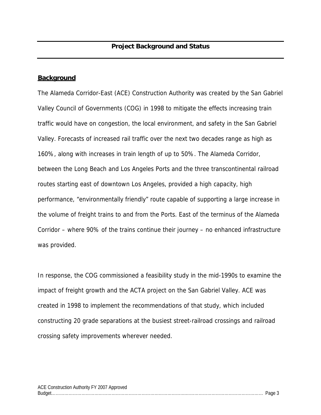#### **Background**

The Alameda Corridor-East (ACE) Construction Authority was created by the San Gabriel Valley Council of Governments (COG) in 1998 to mitigate the effects increasing train traffic would have on congestion, the local environment, and safety in the San Gabriel Valley. Forecasts of increased rail traffic over the next two decades range as high as 160%, along with increases in train length of up to 50%. The Alameda Corridor, between the Long Beach and Los Angeles Ports and the three transcontinental railroad routes starting east of downtown Los Angeles, provided a high capacity, high performance, "environmentally friendly" route capable of supporting a large increase in the volume of freight trains to and from the Ports. East of the terminus of the Alameda Corridor – where 90% of the trains continue their journey – no enhanced infrastructure was provided.

In response, the COG commissioned a feasibility study in the mid-1990s to examine the impact of freight growth and the ACTA project on the San Gabriel Valley. ACE was created in 1998 to implement the recommendations of that study, which included constructing 20 grade separations at the busiest street-railroad crossings and railroad crossing safety improvements wherever needed.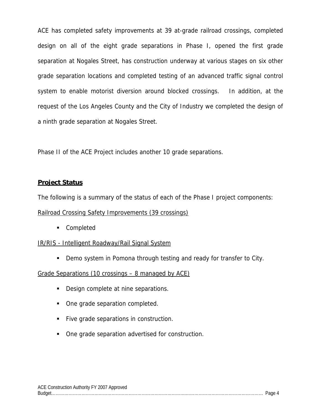ACE has completed safety improvements at 39 at-grade railroad crossings, completed design on all of the eight grade separations in Phase I, opened the first grade separation at Nogales Street, has construction underway at various stages on six other grade separation locations and completed testing of an advanced traffic signal control system to enable motorist diversion around blocked crossings. In addition, at the request of the Los Angeles County and the City of Industry we completed the design of a ninth grade separation at Nogales Street.

Phase II of the ACE Project includes another 10 grade separations.

#### **Project Status**

The following is a summary of the status of each of the Phase I project components:

#### Railroad Crossing Safety Improvements (39 crossings)

**Completed** 

#### IR/RIS - Intelligent Roadway/Rail Signal System

**Demo system in Pomona through testing and ready for transfer to City.** 

#### Grade Separations (10 crossings – 8 managed by ACE)

- Design complete at nine separations.
- One grade separation completed.
- Five grade separations in construction.
- One grade separation advertised for construction.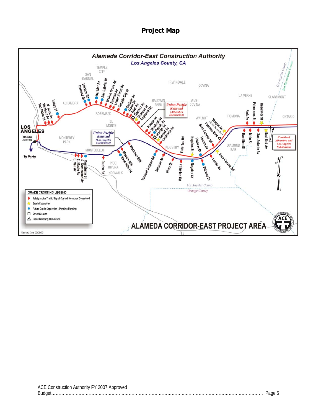#### **Project Map**

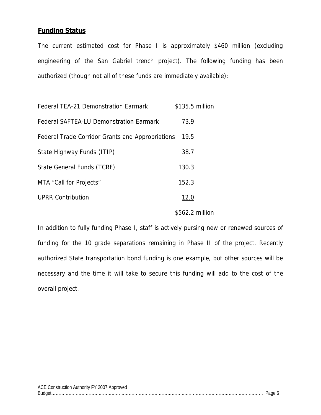#### **Funding Status**

The current estimated cost for Phase I is approximately \$460 million (excluding engineering of the San Gabriel trench project). The following funding has been authorized (though not all of these funds are immediately available):

| <b>Federal TEA-21 Demonstration Earmark</b>      | \$135.5 million |
|--------------------------------------------------|-----------------|
| <b>Federal SAFTEA-LU Demonstration Earmark</b>   | 73.9            |
| Federal Trade Corridor Grants and Appropriations | 19.5            |
| State Highway Funds (ITIP)                       | 38.7            |
| State General Funds (TCRF)                       | 130.3           |
| MTA "Call for Projects"                          | 152.3           |
| <b>UPRR Contribution</b>                         | 12.0            |
|                                                  | \$562.2 million |

In addition to fully funding Phase I, staff is actively pursing new or renewed sources of funding for the 10 grade separations remaining in Phase II of the project. Recently authorized State transportation bond funding is one example, but other sources will be necessary and the time it will take to secure this funding will add to the cost of the overall project.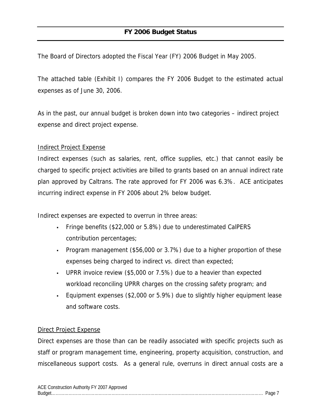The Board of Directors adopted the Fiscal Year (FY) 2006 Budget in May 2005.

The attached table (Exhibit I) compares the FY 2006 Budget to the estimated actual expenses as of June 30, 2006.

As in the past, our annual budget is broken down into two categories – indirect project expense and direct project expense.

#### Indirect Project Expense

Indirect expenses (such as salaries, rent, office supplies, etc.) that cannot easily be charged to specific project activities are billed to grants based on an annual indirect rate plan approved by Caltrans. The rate approved for FY 2006 was 6.3%. ACE anticipates incurring indirect expense in FY 2006 about 2% below budget.

Indirect expenses are expected to overrun in three areas:

- Fringe benefits (\$22,000 or 5.8%) due to underestimated CalPERS contribution percentages;
- Program management (\$56,000 or 3.7%) due to a higher proportion of these expenses being charged to indirect vs. direct than expected;
- UPRR invoice review (\$5,000 or 7.5%) due to a heavier than expected workload reconciling UPRR charges on the crossing safety program; and
- Equipment expenses (\$2,000 or 5.9%) due to slightly higher equipment lease and software costs.

#### Direct Project Expense

Direct expenses are those than can be readily associated with specific projects such as staff or program management time, engineering, property acquisition, construction, and miscellaneous support costs. As a general rule, overruns in direct annual costs are a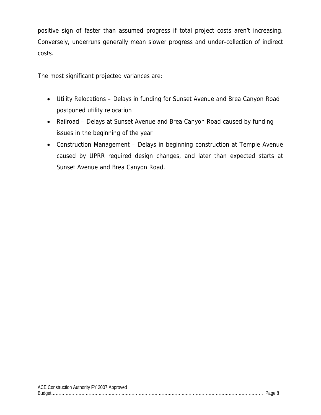positive sign of faster than assumed progress if total project costs aren't increasing. Conversely, underruns generally mean slower progress and under-collection of indirect costs.

The most significant projected variances are:

- Utility Relocations Delays in funding for Sunset Avenue and Brea Canyon Road postponed utility relocation
- Railroad Delays at Sunset Avenue and Brea Canyon Road caused by funding issues in the beginning of the year
- Construction Management Delays in beginning construction at Temple Avenue caused by UPRR required design changes, and later than expected starts at Sunset Avenue and Brea Canyon Road.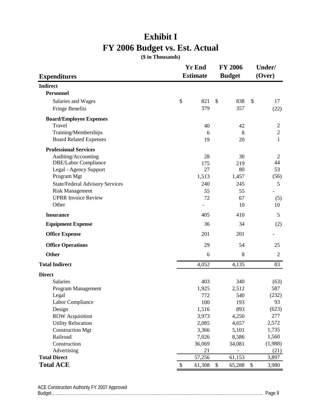## **Exhibit I FY 2006 Budget vs. Est. Actual**

**(\$ in Thousands)**

|                                        | <b>Yr End</b>                       | <b>FY 2006</b> | Under/         |  |
|----------------------------------------|-------------------------------------|----------------|----------------|--|
| <b>Expenditures</b>                    | <b>Estimate</b>                     | <b>Budget</b>  | (Over)         |  |
| <b>Indirect</b>                        |                                     |                |                |  |
| <b>Personnel</b>                       |                                     |                |                |  |
| Salaries and Wages                     | \$<br>821                           | \$<br>838      | \$<br>17       |  |
| <b>Fringe Benefits</b>                 | 379                                 | 357            | (22)           |  |
| <b>Board/Employee Expenses</b>         |                                     |                |                |  |
| Travel                                 | 40                                  | 42             | $\overline{c}$ |  |
| Training/Memberships                   | 6                                   | 8              | $\mathbf{2}$   |  |
| <b>Board Related Expenses</b>          | 19                                  | 20             | 1              |  |
| <b>Professional Services</b>           |                                     |                |                |  |
| Auditing/Accounting                    | 28                                  | 30             | $\overline{2}$ |  |
| DBE/Labor Compliance                   | 175                                 | 219            | 44             |  |
| Legal - Agency Support                 | 27                                  | 80             | 53             |  |
| Program Mgt                            | 1,513                               | 1,457          | (56)           |  |
| <b>State/Federal Advisory Services</b> | 240                                 | 245            | 5              |  |
| <b>Risk Management</b>                 | 55                                  | 55             |                |  |
| <b>UPRR</b> Invoice Review             | 72                                  | 67             | (5)            |  |
| Other                                  |                                     | 10             | 10             |  |
| <b>Insurance</b>                       | 405                                 | 410            | 5              |  |
| <b>Equipment Expense</b>               | 36                                  | 34             | (2)            |  |
| <b>Office Expense</b>                  | 201                                 | 201            |                |  |
| <b>Office Operations</b>               | 29                                  | 54             | 25             |  |
| <b>Other</b>                           | 6                                   | 8              | $\overline{2}$ |  |
| <b>Total Indirect</b>                  | 4,052                               | 4,135          | 83             |  |
| <b>Direct</b>                          |                                     |                |                |  |
| <b>Salaries</b>                        | 403                                 | 340            | (63)           |  |
| Program Management                     | 1,925                               | 2,512          | 587            |  |
| Legal                                  | 772                                 | 540            | (232)          |  |
| Labor Compliance                       | 100                                 | 193            | 93             |  |
| Design                                 | 1,516                               | 893            | (623)          |  |
| <b>ROW</b> Acquisition                 | 3,973                               | 4,250          | 277            |  |
| <b>Utility Relocation</b>              | 2,085                               | 4,657          | 2,572          |  |
| <b>Construction Mgt</b>                | 3,366                               | 5,101          | 1,735          |  |
| Railroad                               | 7,026                               | 8,586          | 1,560          |  |
| Construction                           | 36,069                              | 34,081         | (1,988)        |  |
| Advertising                            | 21                                  |                | (21)           |  |
| <b>Total Direct</b>                    | 57,256                              | 61,153         | 3,897          |  |
| <b>Total ACE</b>                       | $\boldsymbol{\mathsf{S}}$<br>61,308 | \$<br>65,288   | $\$$<br>3,980  |  |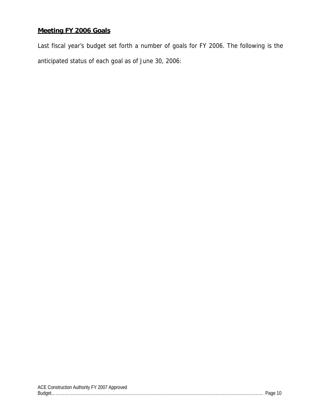#### **Meeting FY 2006 Goals**

Last fiscal year's budget set forth a number of goals for FY 2006. The following is the anticipated status of each goal as of June 30, 2006: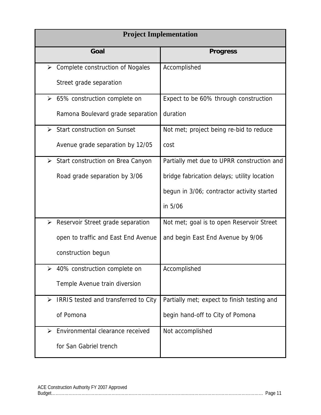| <b>Project Implementation</b>                                 |                                             |  |  |  |
|---------------------------------------------------------------|---------------------------------------------|--|--|--|
| Goal                                                          | <b>Progress</b>                             |  |  |  |
| $\triangleright$ Complete construction of Nogales             | Accomplished                                |  |  |  |
| Street grade separation                                       |                                             |  |  |  |
| $\geq$ 65% construction complete on                           | Expect to be 60% through construction       |  |  |  |
| Ramona Boulevard grade separation                             | duration                                    |  |  |  |
| <b>Start construction on Sunset</b><br>$\blacktriangleright$  | Not met; project being re-bid to reduce     |  |  |  |
| Avenue grade separation by 12/05                              | cost                                        |  |  |  |
| ➤<br>Start construction on Brea Canyon                        | Partially met due to UPRR construction and  |  |  |  |
| Road grade separation by 3/06                                 | bridge fabrication delays; utility location |  |  |  |
|                                                               | begun in 3/06; contractor activity started  |  |  |  |
|                                                               | in 5/06                                     |  |  |  |
| Reservoir Street grade separation<br>➤                        | Not met; goal is to open Reservoir Street   |  |  |  |
| open to traffic and East End Avenue                           | and begin East End Avenue by 9/06           |  |  |  |
| construction begun                                            |                                             |  |  |  |
| 40% construction complete on<br>➤                             | Accomplished                                |  |  |  |
| Temple Avenue train diversion                                 |                                             |  |  |  |
| $\blacktriangleright$<br>IRRIS tested and transferred to City | Partially met; expect to finish testing and |  |  |  |
| of Pomona                                                     | begin hand-off to City of Pomona            |  |  |  |
| Environmental clearance received<br>$\blacktriangleright$     | Not accomplished                            |  |  |  |
| for San Gabriel trench                                        |                                             |  |  |  |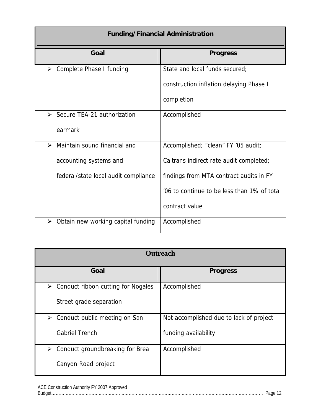| <b>Funding/Financial Administration</b>                     |                                             |  |  |  |
|-------------------------------------------------------------|---------------------------------------------|--|--|--|
| Goal                                                        | <b>Progress</b>                             |  |  |  |
| Complete Phase I funding<br>≻                               | State and local funds secured;              |  |  |  |
|                                                             | construction inflation delaying Phase I     |  |  |  |
|                                                             | completion                                  |  |  |  |
| $\triangleright$ Secure TEA-21 authorization                | Accomplished                                |  |  |  |
| earmark                                                     |                                             |  |  |  |
| Maintain sound financial and<br>$\blacktriangleright$       | Accomplished; "clean" FY '05 audit;         |  |  |  |
| accounting systems and                                      | Caltrans indirect rate audit completed;     |  |  |  |
| federal/state local audit compliance                        | findings from MTA contract audits in FY     |  |  |  |
|                                                             | '06 to continue to be less than 1% of total |  |  |  |
|                                                             | contract value                              |  |  |  |
| Obtain new working capital funding<br>$\blacktriangleright$ | Accomplished                                |  |  |  |

| <b>Outreach</b>                                             |                                         |  |  |  |  |
|-------------------------------------------------------------|-----------------------------------------|--|--|--|--|
| Goal                                                        | <b>Progress</b>                         |  |  |  |  |
| Conduct ribbon cutting for Nogales<br>$\blacktriangleright$ | Accomplished                            |  |  |  |  |
| Street grade separation                                     |                                         |  |  |  |  |
| Conduct public meeting on San<br>➤                          | Not accomplished due to lack of project |  |  |  |  |
| <b>Gabriel Trench</b>                                       | funding availability                    |  |  |  |  |
| Conduct groundbreaking for Brea<br>≻                        | Accomplished                            |  |  |  |  |
| Canyon Road project                                         |                                         |  |  |  |  |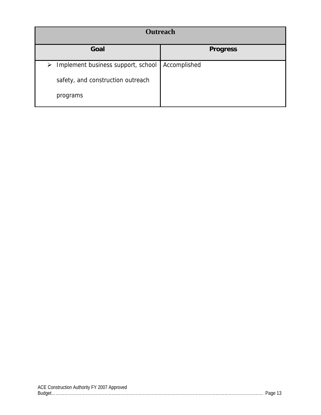|                                         | <b>Outreach</b> |
|-----------------------------------------|-----------------|
| Goal                                    | <b>Progress</b> |
| Implement business support, school<br>➤ | Accomplished    |
| safety, and construction outreach       |                 |
| programs                                |                 |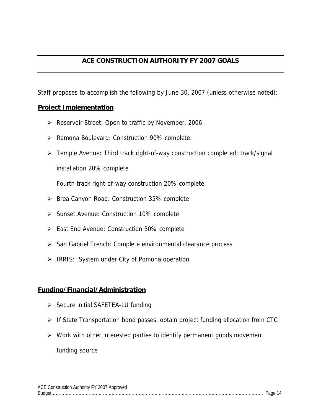#### **ACE CONSTRUCTION AUTHORITY FY 2007 GOALS**

Staff proposes to accomplish the following by June 30, 2007 (unless otherwise noted):

#### **Project Implementation**

- ¾ Reservoir Street: Open to traffic by November, 2006
- ¾ Ramona Boulevard: Construction 90% complete.
- ¾ Temple Avenue: Third track right-of-way construction completed; track/signal installation 20% complete

Fourth track right-of-way construction 20% complete

- ¾ Brea Canyon Road: Construction 35% complete
- ¾ Sunset Avenue: Construction 10% complete
- ¾ East End Avenue: Construction 30% complete
- ¾ San Gabriel Trench: Complete environmental clearance process
- ¾ IRRIS: System under City of Pomona operation

#### **Funding/Financial/Administration**

- $\triangleright$  Secure initial SAFETEA-LU funding
- ¾ If State Transportation bond passes, obtain project funding allocation from CTC
- $\triangleright$  Work with other interested parties to identify permanent goods movement funding source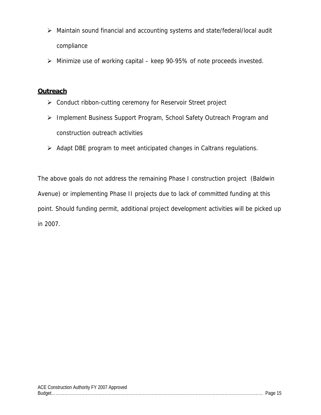- ¾ Maintain sound financial and accounting systems and state/federal/local audit compliance
- $\triangleright$  Minimize use of working capital keep 90-95% of note proceeds invested.

#### **Outreach**

- ¾ Conduct ribbon-cutting ceremony for Reservoir Street project
- ¾ Implement Business Support Program, School Safety Outreach Program and construction outreach activities
- ¾ Adapt DBE program to meet anticipated changes in Caltrans regulations.

The above goals do not address the remaining Phase I construction project (Baldwin Avenue) or implementing Phase II projects due to lack of committed funding at this point. Should funding permit, additional project development activities will be picked up in 2007.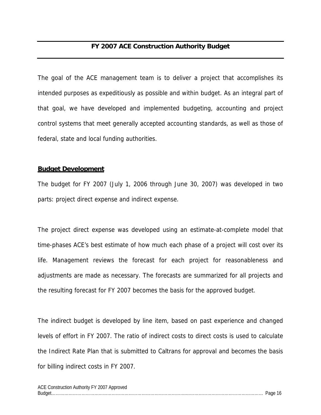#### **FY 2007 ACE Construction Authority Budget**

The goal of the ACE management team is to deliver a project that accomplishes its intended purposes as expeditiously as possible and within budget. As an integral part of that goal, we have developed and implemented budgeting, accounting and project control systems that meet generally accepted accounting standards, as well as those of federal, state and local funding authorities.

#### **Budget Development**

The budget for FY 2007 (July 1, 2006 through June 30, 2007) was developed in two parts: project direct expense and indirect expense.

The project direct expense was developed using an estimate-at-complete model that time-phases ACE's best estimate of how much each phase of a project will cost over its life. Management reviews the forecast for each project for reasonableness and adjustments are made as necessary. The forecasts are summarized for all projects and the resulting forecast for FY 2007 becomes the basis for the approved budget.

The indirect budget is developed by line item, based on past experience and changed levels of effort in FY 2007. The ratio of indirect costs to direct costs is used to calculate the Indirect Rate Plan that is submitted to Caltrans for approval and becomes the basis for billing indirect costs in FY 2007.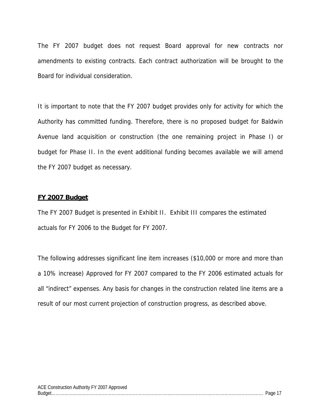The FY 2007 budget does not request Board approval for new contracts nor amendments to existing contracts. Each contract authorization will be brought to the Board for individual consideration.

It is important to note that the FY 2007 budget provides only for activity for which the Authority has committed funding. Therefore, there is no proposed budget for Baldwin Avenue land acquisition or construction (the one remaining project in Phase I) or budget for Phase II. In the event additional funding becomes available we will amend the FY 2007 budget as necessary.

#### **FY 2007 Budget**

The FY 2007 Budget is presented in Exhibit II. Exhibit III compares the estimated actuals for FY 2006 to the Budget for FY 2007.

The following addresses significant line item increases (\$10,000 or more and more than a 10% increase) Approved for FY 2007 compared to the FY 2006 estimated actuals for all "indirect" expenses. Any basis for changes in the construction related line items are a result of our most current projection of construction progress, as described above.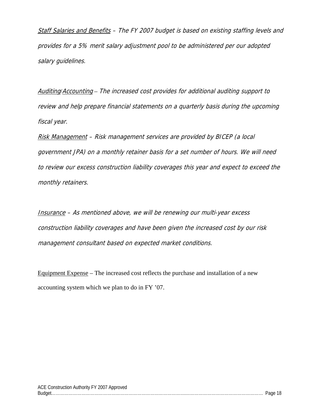Staff Salaries and Benefits – The FY 2007 budget is based on existing staffing levels and provides for a 5% merit salary adjustment pool to be administered per our adopted salary guidelines.

Auditing/Accounting – The increased cost provides for additional auditing support to review and help prepare financial statements on a quarterly basis during the upcoming fiscal year.

Risk Management – Risk management services are provided by BICEP (a local government JPA) on a monthly retainer basis for a set number of hours. We will need to review our excess construction liability coverages this year and expect to exceed the monthly retainers.

Insurance – As mentioned above, we will be renewing our multi-year excess construction liability coverages and have been given the increased cost by our risk management consultant based on expected market conditions.

Equipment Expense – The increased cost reflects the purchase and installation of a new accounting system which we plan to do in FY '07.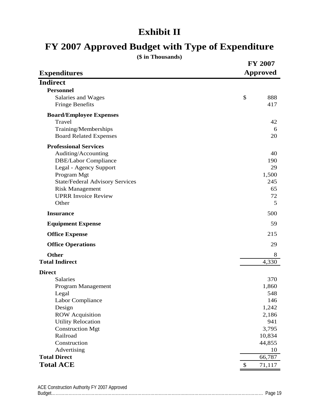## **Exhibit II**

## **FY 2007 Approved Budget with Type of Expenditure**

| (\$ in Thousands)                      |                 |
|----------------------------------------|-----------------|
|                                        | <b>FY 2007</b>  |
| <b>Expenditures</b>                    | <b>Approved</b> |
| <b>Indirect</b>                        |                 |
| <b>Personnel</b>                       |                 |
| Salaries and Wages                     | \$<br>888       |
| <b>Fringe Benefits</b>                 | 417             |
| <b>Board/Employee Expenses</b>         |                 |
| Travel                                 | 42              |
| Training/Memberships                   | 6               |
| <b>Board Related Expenses</b>          | 20              |
| <b>Professional Services</b>           |                 |
| Auditing/Accounting                    | 40              |
| <b>DBE/Labor Compliance</b>            | 190             |
| Legal - Agency Support                 | 29              |
| Program Mgt                            | 1,500           |
| <b>State/Federal Advisory Services</b> | 245             |
| <b>Risk Management</b>                 | 65              |
| <b>UPRR Invoice Review</b>             | 72              |
| Other                                  | 5               |
| <b>Insurance</b>                       | 500             |
| <b>Equipment Expense</b>               | 59              |
| <b>Office Expense</b>                  | 215             |
| <b>Office Operations</b>               | 29              |
| <b>Other</b>                           | 8               |
| <b>Total Indirect</b>                  | 4,330           |
| <b>Direct</b>                          |                 |
| Salaries                               | 370             |
| Program Management                     | 1,860           |
| Legal                                  | 548             |
| Labor Compliance                       | 146             |
| Design                                 | 1,242           |
| <b>ROW</b> Acquisition                 | 2,186           |
| <b>Utility Relocation</b>              | 941             |
| <b>Construction Mgt</b>                | 3,795           |
| Railroad                               | 10,834          |
| Construction                           | 44,855<br>10    |
| Advertising<br><b>Total Direct</b>     | 66,787          |
| <b>Total ACE</b>                       | 71,117          |
|                                        |                 |

| ACE Construction Authority FY 2007 Approved |  |
|---------------------------------------------|--|
|                                             |  |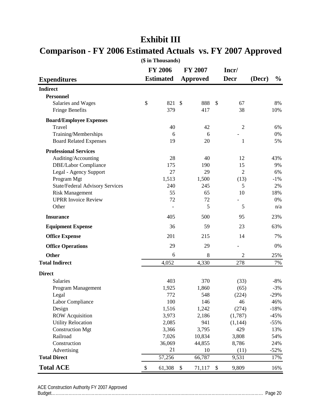|                                        |    | ιψ <b>111 1110 00001100</b> /<br><b>FY 2006</b> |               | <b>FY 2007</b>  |               | Incr/          |        |               |
|----------------------------------------|----|-------------------------------------------------|---------------|-----------------|---------------|----------------|--------|---------------|
| <b>Expenditures</b>                    |    | <b>Estimated</b>                                |               | <b>Approved</b> |               | <b>Decr</b>    | (Decr) | $\frac{0}{0}$ |
| <b>Indirect</b>                        |    |                                                 |               |                 |               |                |        |               |
| <b>Personnel</b>                       |    |                                                 |               |                 |               |                |        |               |
| Salaries and Wages                     | \$ | 821                                             | $\mathcal{S}$ | 888             | $\mathcal{S}$ | 67             |        | 8%            |
| <b>Fringe Benefits</b>                 |    | 379                                             |               | 417             |               | 38             |        | 10%           |
| <b>Board/Employee Expenses</b>         |    |                                                 |               |                 |               |                |        |               |
| Travel                                 |    | 40                                              |               | 42              |               | $\overline{2}$ |        | 6%            |
| Training/Memberships                   |    | 6                                               |               | 6               |               |                |        | 0%            |
| <b>Board Related Expenses</b>          |    | 19                                              |               | 20              |               | 1              |        | 5%            |
| <b>Professional Services</b>           |    |                                                 |               |                 |               |                |        |               |
| Auditing/Accounting                    |    | 28                                              |               | 40              |               | 12             |        | 43%           |
| <b>DBE/Labor Compliance</b>            |    | 175                                             |               | 190             |               | 15             |        | 9%            |
| Legal - Agency Support                 |    | 27                                              |               | 29              |               | $\overline{2}$ |        | 6%            |
| Program Mgt                            |    | 1,513                                           |               | 1,500           |               | (13)           |        | $-1%$         |
| <b>State/Federal Advisory Services</b> |    | 240                                             |               | 245             |               | 5              |        | 2%            |
| <b>Risk Management</b>                 |    | 55                                              |               | 65              |               | 10             |        | 18%           |
| <b>UPRR Invoice Review</b>             |    | 72                                              |               | 72              |               |                |        | 0%            |
| Other                                  |    |                                                 |               | 5               |               | 5              |        | n/a           |
| <b>Insurance</b>                       |    | 405                                             |               | 500             |               | 95             |        | 23%           |
| <b>Equipment Expense</b>               |    | 36                                              |               | 59              |               | 23             |        | 63%           |
| <b>Office Expense</b>                  |    | 201                                             |               | 215             |               | 14             |        | 7%            |
| <b>Office Operations</b>               |    | 29                                              |               | 29              |               |                |        | 0%            |
| <b>Other</b>                           |    | 6                                               |               | 8               |               | $\overline{2}$ |        | 25%           |
| <b>Total Indirect</b>                  |    | 4,052                                           |               | 4,330           |               | 278            |        | 7%            |
| <b>Direct</b>                          |    |                                                 |               |                 |               |                |        |               |
| Salaries                               |    | 403                                             |               | 370             |               | (33)           |        | $-8%$         |
| Program Management                     |    | 1,925                                           |               | 1,860           |               | (65)           |        | $-3%$         |
| Legal                                  |    | 772                                             |               | 548             |               | (224)          |        | $-29%$        |
| Labor Compliance                       |    | 100                                             |               | 146             |               | 46             |        | 46%           |
| Design                                 |    | 1,516                                           |               | 1,242           |               | (274)          |        | $-18%$        |
| <b>ROW</b> Acquisition                 |    | 3,973                                           |               | 2,186           |               | (1,787)        |        | $-45%$        |
| <b>Utility Relocation</b>              |    | 2,085                                           |               | 941             |               | (1, 144)       |        | $-55%$        |
| <b>Construction Mgt</b>                |    | 3,366                                           |               | 3,795           |               | 429            |        | 13%           |
| Railroad                               |    | 7,026                                           |               | 10,834          |               | 3,808          |        | 54%           |
| Construction                           |    | 36,069                                          |               | 44,855          |               | 8,786          |        | 24%           |
| Advertising                            |    | 21                                              |               | 10              |               | (11)           |        | $-52%$        |
| <b>Total Direct</b>                    |    | 57,256                                          |               | 66,787          |               | 9,531          |        | 17%           |
| <b>Total ACE</b>                       | \$ | 61,308                                          | \$            | 71,117          | \$            | 9,809          |        | 16%           |

### **Exhibit III**

#### **Comparison - FY 2006 Estimated Actuals vs. FY 2007 Approved (\$ in Thousands)**

ACE Construction Authority FY 2007 Approved Budget………………………………………………………………………………….……………………………………………… Page 20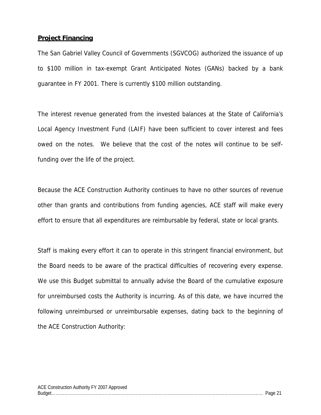#### **Project Financing**

The San Gabriel Valley Council of Governments (SGVCOG) authorized the issuance of up to \$100 million in tax-exempt Grant Anticipated Notes (GANs) backed by a bank guarantee in FY 2001. There is currently \$100 million outstanding.

The interest revenue generated from the invested balances at the State of California's Local Agency Investment Fund (LAIF) have been sufficient to cover interest and fees owed on the notes. We believe that the cost of the notes will continue to be selffunding over the life of the project.

Because the ACE Construction Authority continues to have no other sources of revenue other than grants and contributions from funding agencies, ACE staff will make every effort to ensure that all expenditures are reimbursable by federal, state or local grants.

Staff is making every effort it can to operate in this stringent financial environment, but the Board needs to be aware of the practical difficulties of recovering every expense. We use this Budget submittal to annually advise the Board of the cumulative exposure for unreimbursed costs the Authority is incurring. As of this date, we have incurred the following unreimbursed or unreimbursable expenses, dating back to the beginning of the ACE Construction Authority: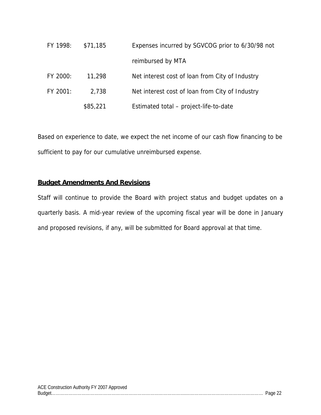| FY 1998: | \$71,185 | Expenses incurred by SGVCOG prior to 6/30/98 not |
|----------|----------|--------------------------------------------------|
|          |          | reimbursed by MTA                                |
| FY 2000: | 11,298   | Net interest cost of loan from City of Industry  |
| FY 2001: | 2,738    | Net interest cost of loan from City of Industry  |
|          | \$85,221 | Estimated total - project-life-to-date           |

Based on experience to date, we expect the net income of our cash flow financing to be sufficient to pay for our cumulative unreimbursed expense.

#### **Budget Amendments And Revisions**

Staff will continue to provide the Board with project status and budget updates on a quarterly basis. A mid-year review of the upcoming fiscal year will be done in January and proposed revisions, if any, will be submitted for Board approval at that time.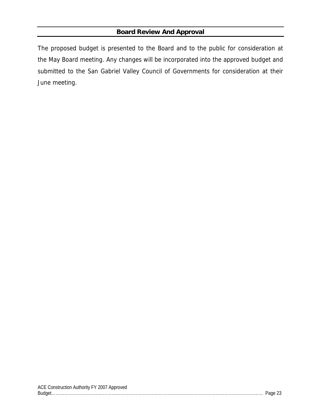#### **Board Review And Approval**

The proposed budget is presented to the Board and to the public for consideration at the May Board meeting. Any changes will be incorporated into the approved budget and submitted to the San Gabriel Valley Council of Governments for consideration at their June meeting.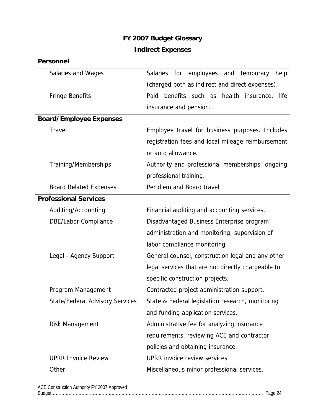### **FY 2007 Budget Glossary Indirect Expenses**

| <b>Salaries</b><br>employees and<br>for<br>temporary<br>help |  |  |  |
|--------------------------------------------------------------|--|--|--|
| (charged both as indirect and direct expenses).              |  |  |  |
| benefits such as health insurance, life<br>Paid              |  |  |  |
| insurance and pension.                                       |  |  |  |
|                                                              |  |  |  |
| Employee travel for business purposes. Includes              |  |  |  |
| registration fees and local mileage reimbursement            |  |  |  |
| or auto allowance.                                           |  |  |  |
| Authority and professional memberships; ongoing              |  |  |  |
| professional training.                                       |  |  |  |
| Per diem and Board travel.                                   |  |  |  |
|                                                              |  |  |  |
| Financial auditing and accounting services.                  |  |  |  |
| Disadvantaged Business Enterprise program                    |  |  |  |
| administration and monitoring; supervision of                |  |  |  |
| labor compliance monitoring                                  |  |  |  |
| General counsel, construction legal and any other            |  |  |  |
| legal services that are not directly chargeable to           |  |  |  |
| specific construction projects.                              |  |  |  |
| Contracted project administration support.                   |  |  |  |
| State & Federal legislation research, monitoring             |  |  |  |
| and funding application services.                            |  |  |  |
| Administrative fee for analyzing insurance                   |  |  |  |
| requirements, reviewing ACE and contractor                   |  |  |  |
| policies and obtaining insurance.                            |  |  |  |
| UPRR invoice review services.                                |  |  |  |
| Miscellaneous minor professional services.                   |  |  |  |
|                                                              |  |  |  |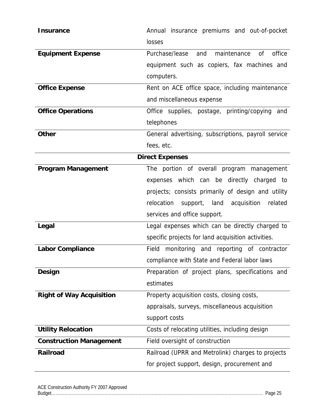| <b>Insurance</b>                | Annual insurance premiums and out-of-pocket                     |
|---------------------------------|-----------------------------------------------------------------|
|                                 | losses                                                          |
| <b>Equipment Expense</b>        | <sub>of</sub><br>office<br>Purchase/lease<br>maintenance<br>and |
|                                 | equipment such as copiers, fax machines and                     |
|                                 | computers.                                                      |
| <b>Office Expense</b>           | Rent on ACE office space, including maintenance                 |
|                                 | and miscellaneous expense                                       |
| <b>Office Operations</b>        | Office supplies, postage, printing/copying<br>and               |
|                                 | telephones                                                      |
| <b>Other</b>                    | General advertising, subscriptions, payroll service             |
|                                 | fees, etc.                                                      |
| <b>Direct Expenses</b>          |                                                                 |
| <b>Program Management</b>       | The portion of overall program management                       |
|                                 | expenses which can be directly charged to                       |
|                                 | projects; consists primarily of design and utility              |
|                                 | relocation<br>acquisition<br>support,<br>land<br>related        |
|                                 | services and office support.                                    |
| Legal                           | Legal expenses which can be directly charged to                 |
|                                 | specific projects for land acquisition activities.              |
| <b>Labor Compliance</b>         | Field<br>monitoring and reporting of contractor                 |
|                                 | compliance with State and Federal labor laws                    |
| <b>Design</b>                   | Preparation of project plans, specifications and                |
|                                 | estimates                                                       |
| <b>Right of Way Acquisition</b> | Property acquisition costs, closing costs,                      |
|                                 | appraisals, surveys, miscellaneous acquisition                  |
|                                 | support costs                                                   |
| <b>Utility Relocation</b>       | Costs of relocating utilities, including design                 |
| <b>Construction Management</b>  | Field oversight of construction                                 |
| <b>Railroad</b>                 | Railroad (UPRR and Metrolink) charges to projects               |
|                                 | for project support, design, procurement and                    |